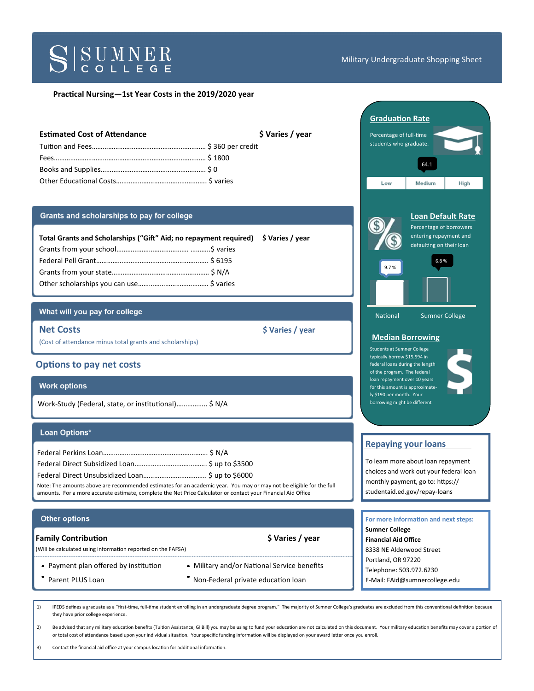

#### Military Undergraduate Shopping Sheet

#### **Practical Nursing—1st Year Costs in the 2019/2020 year**

| <b>Estimated Cost of Attendance</b> | \$ Varies / year |
|-------------------------------------|------------------|
|                                     |                  |
|                                     |                  |
|                                     |                  |
|                                     |                  |

#### Grants and scholarships to pay for college

| Total Grants and Scholarships ("Gift" Aid; no repayment required) \$ Varies / year |  |  |
|------------------------------------------------------------------------------------|--|--|
|                                                                                    |  |  |
|                                                                                    |  |  |
|                                                                                    |  |  |
|                                                                                    |  |  |

## What will you pay for college

**Net Costs**  $\left\{\sqrt{2} \times \sqrt{2} \times \sqrt{2} \times \sqrt{2} \times \sqrt{2} \times \sqrt{2} \times \sqrt{2} \times \sqrt{2} \times \sqrt{2} \times \sqrt{2} \times \sqrt{2} \times \sqrt{2} \times \sqrt{2} \times \sqrt{2} \times \sqrt{2} \times \sqrt{2} \times \sqrt{2} \times \sqrt{2} \times \sqrt{2} \times \sqrt{2} \times \sqrt{2} \times \sqrt{2} \times \sqrt{2} \times \sqrt{2} \times \sqrt{2} \times \sqrt{2} \times \sqrt{2} \times \sqrt{2} \times \sqrt{2} \times \sqrt{$ 

(Cost of attendance minus total grants and scholarships)

## **Options to pay net costs**

## **Work options**

Work-Study (Federal, state, or institutional)…………….. \$ N/A

#### Loan Options\*

| Note: The amounts above are recommended estimates for an academic year. You may or may not be eligible for the full<br>amounts. For a more accurate estimate, complete the Net Price Calculator or contact your Financial Aid Office |  |
|--------------------------------------------------------------------------------------------------------------------------------------------------------------------------------------------------------------------------------------|--|

#### **Other options**

#### **Family Contribution 1988 S** Varies / year

(Will be calculated using information reported on the FAFSA)

- 
- 
- Payment plan offered by institution Military and/or National Service benefits
	- Parent PLUS Loan **Non-Federal private education loan**

1) IPEDS defines a graduate as a "first-time, full-time student enrolling in an undergraduate degree program." The majority of Sumner College's graduates are excluded from this conventional definition because they have prior college experience.

2) Be advised that any military education benefits (Tuition Assistance, GI Bill) you may be using to fund your education are not calculated on this document. Your military education benefits may cover a portion of or total cost of attendance based upon your individual situation. Your specific funding information will be displayed on your award letter once you enroll.

3) Contact the financial aid office at your campus location for additional information.

| <b>Graduation Rate</b>                                                                                                          |                                                                                                                   |      |
|---------------------------------------------------------------------------------------------------------------------------------|-------------------------------------------------------------------------------------------------------------------|------|
| Percentage of full-time<br>students who graduate.                                                                               |                                                                                                                   |      |
|                                                                                                                                 | 64.1                                                                                                              |      |
| Low                                                                                                                             | Medium                                                                                                            | High |
| 9.7%                                                                                                                            | <b>Loan Default Rate</b><br>Percentage of borrowers<br>entering repayment and<br>defaulting on their loan<br>6.8% |      |
| National                                                                                                                        | <b>Sumner College</b>                                                                                             |      |
| <b>Median Borrowing</b><br><b>Students at Sumner College</b><br>typically borrow \$15,594 in<br>federal loans during the length |                                                                                                                   |      |
| of the program. The federal<br>loan repayment over 10 years<br>for this amount is approximate-                                  |                                                                                                                   |      |

# **Repaying your loans**

ly \$190 per month. Your borrowing might be different

To learn more about loan repayment choices and work out your federal loan monthly payment, go to: https:// studentaid.ed.gov/repay-loans

| For more information and next steps: |
|--------------------------------------|
| <b>Sumner College</b>                |
| <b>Financial Aid Office</b>          |
| 8338 NE Alderwood Street             |
| Portland, OR 97220                   |
| Telephone: 503.972.6230              |
| E-Mail: FAid@sumnercollege.edu       |
|                                      |